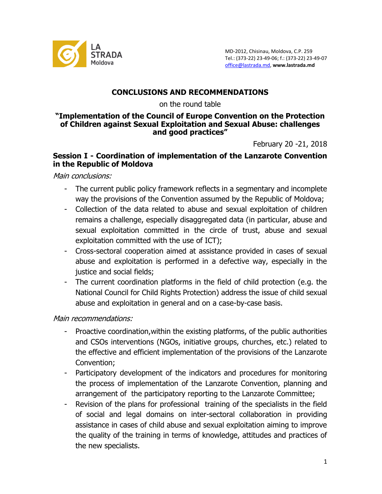

## **CONCLUSIONS AND RECOMMENDATIONS**

on the round table

#### **"Implementation of the Council of Europe Convention on the Protection of Children against Sexual Exploitation and Sexual Abuse: challenges and good practices"**

February 20 -21, 2018

### **Session I - Coordination of implementation of the Lanzarote Convention in the Republic of Moldova**

Main conclusions:

- The current public policy framework reflects in a segmentary and incomplete way the provisions of the Convention assumed by the Republic of Moldova;
- Collection of the data related to abuse and sexual exploitation of children remains a challenge, especially disaggregated data (in particular, abuse and sexual exploitation committed in the circle of trust, abuse and sexual exploitation committed with the use of ICT);
- Cross-sectoral cooperation aimed at assistance provided in cases of sexual abuse and exploitation is performed in a defective way, especially in the justice and social fields;
- The current coordination platforms in the field of child protection (e.g. the National Council for Child Rights Protection) address the issue of child sexual abuse and exploitation in general and on a case-by-case basis.

Main recommendations:

- Proactive coordination, within the existing platforms, of the public authorities and CSOs interventions (NGOs, initiative groups, churches, etc.) related to the effective and efficient implementation of the provisions of the Lanzarote Convention;
- Participatory development of the indicators and procedures for monitoring the process of implementation of the Lanzarote Convention, planning and arrangement of the participatory reporting to the Lanzarote Committee;
- Revision of the plans for professional training of the specialists in the field of social and legal domains on inter-sectoral collaboration in providing assistance in cases of child abuse and sexual exploitation aiming to improve the quality of the training in terms of knowledge, attitudes and practices of the new specialists.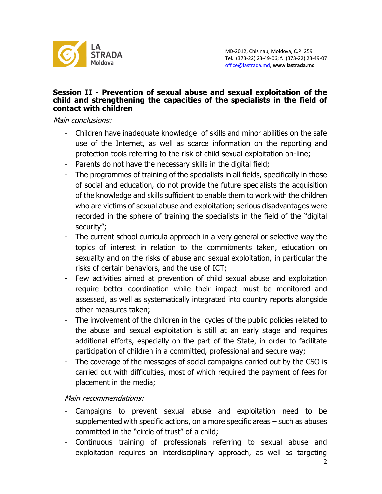

#### **Session II - Prevention of sexual abuse and sexual exploitation of the child and strengthening the capacities of the specialists in the field of contact with children**

Main conclusions:

- Children have inadequate knowledge of skills and minor abilities on the safe use of the Internet, as well as scarce information on the reporting and protection tools referring to the risk of child sexual exploitation on-line;
- Parents do not have the necessary skills in the digital field;
- The programmes of training of the specialists in all fields, specifically in those of social and education, do not provide the future specialists the acquisition of the knowledge and skills sufficient to enable them to work with the children who are victims of sexual abuse and exploitation; serious disadvantages were recorded in the sphere of training the specialists in the field of the "digital security";
- The current school curricula approach in a very general or selective way the topics of interest in relation to the commitments taken, education on sexuality and on the risks of abuse and sexual exploitation, in particular the risks of certain behaviors, and the use of ICT;
- Few activities aimed at prevention of child sexual abuse and exploitation require better coordination while their impact must be monitored and assessed, as well as systematically integrated into country reports alongside other measures taken;
- The involvement of the children in the cycles of the public policies related to the abuse and sexual exploitation is still at an early stage and requires additional efforts, especially on the part of the State, in order to facilitate participation of children in a committed, professional and secure way;
- The coverage of the messages of social campaigns carried out by the CSO is carried out with difficulties, most of which required the payment of fees for placement in the media;

Main recommendations:

- Campaigns to prevent sexual abuse and exploitation need to be supplemented with specific actions, on a more specific areas – such as abuses committed in the "circle of trust" of a child;
- Continuous training of professionals referring to sexual abuse and exploitation requires an interdisciplinary approach, as well as targeting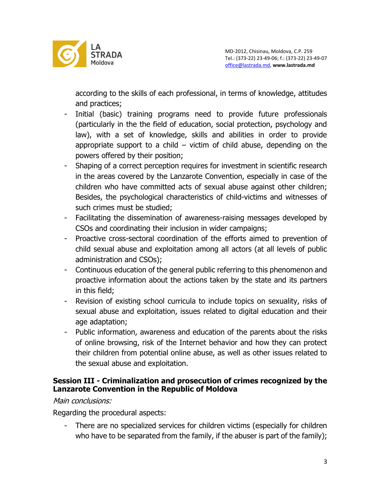

according to the skills of each professional, in terms of knowledge, attitudes and practices;

- Initial (basic) training programs need to provide future professionals (particularly in the the field of education, social protection, psychology and law), with a set of knowledge, skills and abilities in order to provide appropriate support to a child – victim of child abuse, depending on the powers offered by their position;
- Shaping of a correct perception requires for investment in scientific research in the areas covered by the Lanzarote Convention, especially in case of the children who have committed acts of sexual abuse against other children; Besides, the psychological characteristics of child-victims and witnesses of such crimes must be studied;
- Facilitating the dissemination of awareness-raising messages developed by CSOs and coordinating their inclusion in wider campaigns;
- Proactive cross-sectoral coordination of the efforts aimed to prevention of child sexual abuse and exploitation among all actors (at all levels of public administration and CSOs);
- Continuous education of the general public referring to this phenomenon and proactive information about the actions taken by the state and its partners in this field;
- Revision of existing school curricula to include topics on sexuality, risks of sexual abuse and exploitation, issues related to digital education and their age adaptation;
- Public information, awareness and education of the parents about the risks of online browsing, risk of the Internet behavior and how they can protect their children from potential online abuse, as well as other issues related to the sexual abuse and exploitation.

### **Session III - Criminalization and prosecution of crimes recognized by the Lanzarote Convention in the Republic of Moldova**

# Main conclusions:

Regarding the procedural aspects:

- There are no specialized services for children victims (especially for children who have to be separated from the family, if the abuser is part of the family);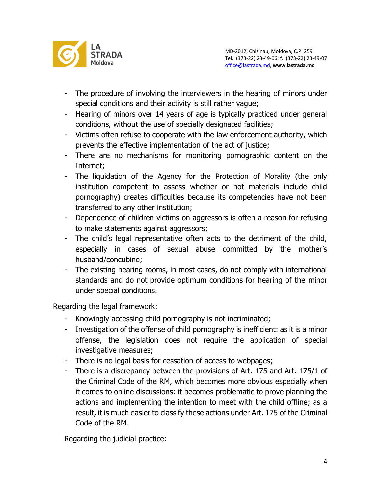

- The procedure of involving the interviewers in the hearing of minors under special conditions and their activity is still rather vague;
- Hearing of minors over 14 years of age is typically practiced under general conditions, without the use of specially designated facilities;
- Victims often refuse to cooperate with the law enforcement authority, which prevents the effective implementation of the act of justice;
- There are no mechanisms for monitoring pornographic content on the Internet;
- The liquidation of the Agency for the Protection of Morality (the only institution competent to assess whether or not materials include child pornography) creates difficulties because its competencies have not been transferred to any other institution;
- Dependence of children victims on aggressors is often a reason for refusing to make statements against aggressors;
- The child's legal representative often acts to the detriment of the child, especially in cases of sexual abuse committed by the mother's husband/concubine;
- The existing hearing rooms, in most cases, do not comply with international standards and do not provide optimum conditions for hearing of the minor under special conditions.

Regarding the legal framework:

- Knowingly accessing child pornography is not incriminated;
- Investigation of the offense of child pornography is inefficient: as it is a minor offense, the legislation does not require the application of special investigative measures;
- There is no legal basis for cessation of access to webpages;
- There is a discrepancy between the provisions of Art. 175 and Art. 175/1 of the Criminal Code of the RM, which becomes more obvious especially when it comes to online discussions: it becomes problematic to prove planning the actions and implementing the intention to meet with the child offline; as a result, it is much easier to classify these actions under Art. 175 of the Criminal Code of the RM.

Regarding the judicial practice: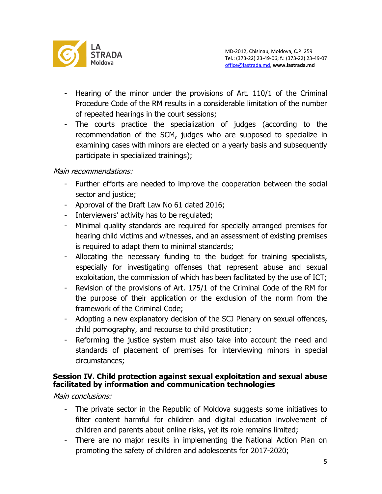

- Hearing of the minor under the provisions of Art. 110/1 of the Criminal Procedure Code of the RM results in a considerable limitation of the number of repeated hearings in the court sessions;
- The courts practice the specialization of judges (according to the recommendation of the SCM, judges who are supposed to specialize in examining cases with minors are elected on a yearly basis and subsequently participate in specialized trainings);

### Main recommendations:

- Further efforts are needed to improve the cooperation between the social sector and justice;
- Approval of the Draft Law No 61 dated 2016;
- Interviewers' activity has to be regulated;
- Minimal quality standards are required for specially arranged premises for hearing child victims and witnesses, and an assessment of existing premises is required to adapt them to minimal standards;
- Allocating the necessary funding to the budget for training specialists, especially for investigating offenses that represent abuse and sexual exploitation, the commission of which has been facilitated by the use of ICT;
- Revision of the provisions of Art. 175/1 of the Criminal Code of the RM for the purpose of their application or the exclusion of the norm from the framework of the Criminal Code;
- Adopting a new explanatory decision of the SCJ Plenary on sexual offences, child pornography, and recourse to child prostitution;
- Reforming the justice system must also take into account the need and standards of placement of premises for interviewing minors in special circumstances;

### **Session IV. Child protection against sexual exploitation and sexual abuse facilitated by information and communication technologies**

Main conclusions:

- The private sector in the Republic of Moldova suggests some initiatives to filter content harmful for children and digital education involvement of children and parents about online risks, yet its role remains limited;
- There are no major results in implementing the National Action Plan on promoting the safety of children and adolescents for 2017-2020;